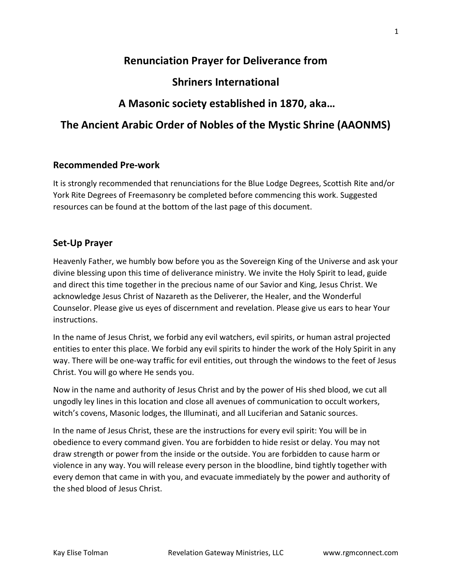# Renunciation Prayer for Deliverance from

# Shriners International

# A Masonic society established in 1870, aka…

# The Ancient Arabic Order of Nobles of the Mystic Shrine (AAONMS)

# Recommended Pre-work

It is strongly recommended that renunciations for the Blue Lodge Degrees, Scottish Rite and/or York Rite Degrees of Freemasonry be completed before commencing this work. Suggested resources can be found at the bottom of the last page of this document.

# Set-Up Prayer

Heavenly Father, we humbly bow before you as the Sovereign King of the Universe and ask your divine blessing upon this time of deliverance ministry. We invite the Holy Spirit to lead, guide and direct this time together in the precious name of our Savior and King, Jesus Christ. We acknowledge Jesus Christ of Nazareth as the Deliverer, the Healer, and the Wonderful Counselor. Please give us eyes of discernment and revelation. Please give us ears to hear Your instructions.

In the name of Jesus Christ, we forbid any evil watchers, evil spirits, or human astral projected entities to enter this place. We forbid any evil spirits to hinder the work of the Holy Spirit in any way. There will be one-way traffic for evil entities, out through the windows to the feet of Jesus Christ. You will go where He sends you.

Now in the name and authority of Jesus Christ and by the power of His shed blood, we cut all ungodly ley lines in this location and close all avenues of communication to occult workers, witch's covens, Masonic lodges, the Illuminati, and all Luciferian and Satanic sources.

In the name of Jesus Christ, these are the instructions for every evil spirit: You will be in obedience to every command given. You are forbidden to hide resist or delay. You may not draw strength or power from the inside or the outside. You are forbidden to cause harm or violence in any way. You will release every person in the bloodline, bind tightly together with every demon that came in with you, and evacuate immediately by the power and authority of the shed blood of Jesus Christ.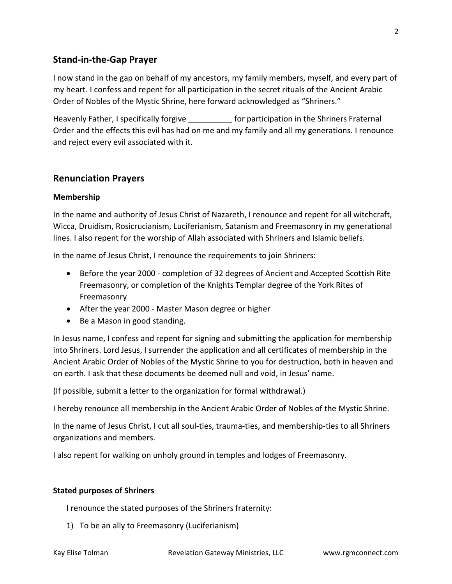# Stand-in-the-Gap Prayer

I now stand in the gap on behalf of my ancestors, my family members, myself, and every part of my heart. I confess and repent for all participation in the secret rituals of the Ancient Arabic Order of Nobles of the Mystic Shrine, here forward acknowledged as "Shriners."

Heavenly Father, I specifically forgive equal to report for participation in the Shriners Fraternal Order and the effects this evil has had on me and my family and all my generations. I renounce and reject every evil associated with it.

# Renunciation Prayers

## Membership

In the name and authority of Jesus Christ of Nazareth, I renounce and repent for all witchcraft, Wicca, Druidism, Rosicrucianism, Luciferianism, Satanism and Freemasonry in my generational lines. I also repent for the worship of Allah associated with Shriners and Islamic beliefs.

In the name of Jesus Christ, I renounce the requirements to join Shriners:

- Before the year 2000 completion of 32 degrees of Ancient and Accepted Scottish Rite Freemasonry, or completion of the Knights Templar degree of the York Rites of Freemasonry
- After the year 2000 Master Mason degree or higher
- Be a Mason in good standing.

In Jesus name, I confess and repent for signing and submitting the application for membership into Shriners. Lord Jesus, I surrender the application and all certificates of membership in the Ancient Arabic Order of Nobles of the Mystic Shrine to you for destruction, both in heaven and on earth. I ask that these documents be deemed null and void, in Jesus' name.

(If possible, submit a letter to the organization for formal withdrawal.)

I hereby renounce all membership in the Ancient Arabic Order of Nobles of the Mystic Shrine.

In the name of Jesus Christ, I cut all soul-ties, trauma-ties, and membership-ties to all Shriners organizations and members.

I also repent for walking on unholy ground in temples and lodges of Freemasonry.

#### Stated purposes of Shriners

I renounce the stated purposes of the Shriners fraternity:

1) To be an ally to Freemasonry (Luciferianism)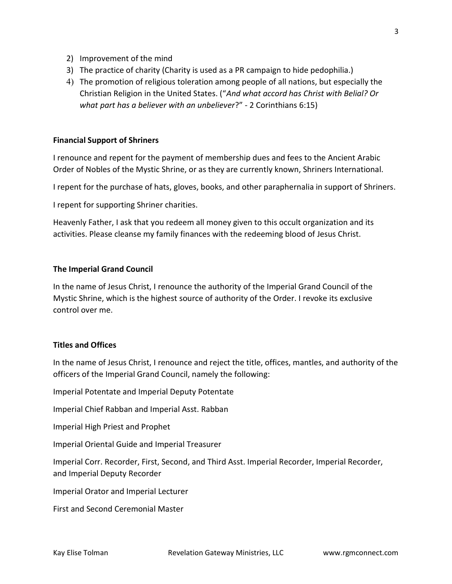- 2) Improvement of the mind
- 3) The practice of charity (Charity is used as a PR campaign to hide pedophilia.)
- 4) The promotion of religious toleration among people of all nations, but especially the Christian Religion in the United States. ("And what accord has Christ with Belial? Or what part has a believer with an unbeliever?" - 2 Corinthians 6:15)

### Financial Support of Shriners

I renounce and repent for the payment of membership dues and fees to the Ancient Arabic Order of Nobles of the Mystic Shrine, or as they are currently known, Shriners International.

I repent for the purchase of hats, gloves, books, and other paraphernalia in support of Shriners.

I repent for supporting Shriner charities.

Heavenly Father, I ask that you redeem all money given to this occult organization and its activities. Please cleanse my family finances with the redeeming blood of Jesus Christ.

#### The Imperial Grand Council

In the name of Jesus Christ, I renounce the authority of the Imperial Grand Council of the Mystic Shrine, which is the highest source of authority of the Order. I revoke its exclusive control over me.

#### Titles and Offices

In the name of Jesus Christ, I renounce and reject the title, offices, mantles, and authority of the officers of the Imperial Grand Council, namely the following:

Imperial Potentate and Imperial Deputy Potentate

Imperial Chief Rabban and Imperial Asst. Rabban

Imperial High Priest and Prophet

Imperial Oriental Guide and Imperial Treasurer

Imperial Corr. Recorder, First, Second, and Third Asst. Imperial Recorder, Imperial Recorder, and Imperial Deputy Recorder

Imperial Orator and Imperial Lecturer

First and Second Ceremonial Master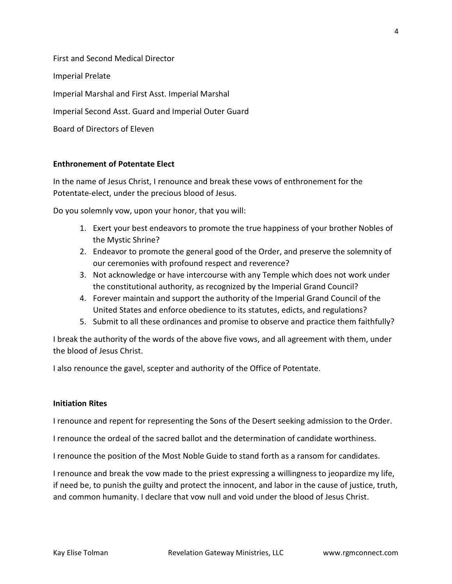First and Second Medical Director Imperial Prelate Imperial Marshal and First Asst. Imperial Marshal Imperial Second Asst. Guard and Imperial Outer Guard Board of Directors of Eleven

## Enthronement of Potentate Elect

In the name of Jesus Christ, I renounce and break these vows of enthronement for the Potentate-elect, under the precious blood of Jesus.

Do you solemnly vow, upon your honor, that you will:

- 1. Exert your best endeavors to promote the true happiness of your brother Nobles of the Mystic Shrine?
- 2. Endeavor to promote the general good of the Order, and preserve the solemnity of our ceremonies with profound respect and reverence?
- 3. Not acknowledge or have intercourse with any Temple which does not work under the constitutional authority, as recognized by the Imperial Grand Council?
- 4. Forever maintain and support the authority of the Imperial Grand Council of the United States and enforce obedience to its statutes, edicts, and regulations?
- 5. Submit to all these ordinances and promise to observe and practice them faithfully?

I break the authority of the words of the above five vows, and all agreement with them, under the blood of Jesus Christ.

I also renounce the gavel, scepter and authority of the Office of Potentate.

#### Initiation Rites

I renounce and repent for representing the Sons of the Desert seeking admission to the Order.

I renounce the ordeal of the sacred ballot and the determination of candidate worthiness.

I renounce the position of the Most Noble Guide to stand forth as a ransom for candidates.

I renounce and break the vow made to the priest expressing a willingness to jeopardize my life, if need be, to punish the guilty and protect the innocent, and labor in the cause of justice, truth, and common humanity. I declare that vow null and void under the blood of Jesus Christ.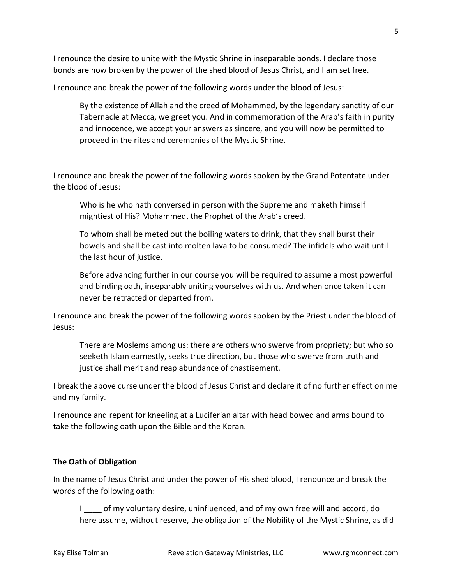I renounce the desire to unite with the Mystic Shrine in inseparable bonds. I declare those bonds are now broken by the power of the shed blood of Jesus Christ, and I am set free.

I renounce and break the power of the following words under the blood of Jesus:

By the existence of Allah and the creed of Mohammed, by the legendary sanctity of our Tabernacle at Mecca, we greet you. And in commemoration of the Arab's faith in purity and innocence, we accept your answers as sincere, and you will now be permitted to proceed in the rites and ceremonies of the Mystic Shrine.

I renounce and break the power of the following words spoken by the Grand Potentate under the blood of Jesus:

Who is he who hath conversed in person with the Supreme and maketh himself mightiest of His? Mohammed, the Prophet of the Arab's creed.

To whom shall be meted out the boiling waters to drink, that they shall burst their bowels and shall be cast into molten lava to be consumed? The infidels who wait until the last hour of justice.

Before advancing further in our course you will be required to assume a most powerful and binding oath, inseparably uniting yourselves with us. And when once taken it can never be retracted or departed from.

I renounce and break the power of the following words spoken by the Priest under the blood of Jesus:

There are Moslems among us: there are others who swerve from propriety; but who so seeketh Islam earnestly, seeks true direction, but those who swerve from truth and justice shall merit and reap abundance of chastisement.

I break the above curse under the blood of Jesus Christ and declare it of no further effect on me and my family.

I renounce and repent for kneeling at a Luciferian altar with head bowed and arms bound to take the following oath upon the Bible and the Koran.

# The Oath of Obligation

In the name of Jesus Christ and under the power of His shed blood, I renounce and break the words of the following oath:

I \_\_\_\_ of my voluntary desire, uninfluenced, and of my own free will and accord, do here assume, without reserve, the obligation of the Nobility of the Mystic Shrine, as did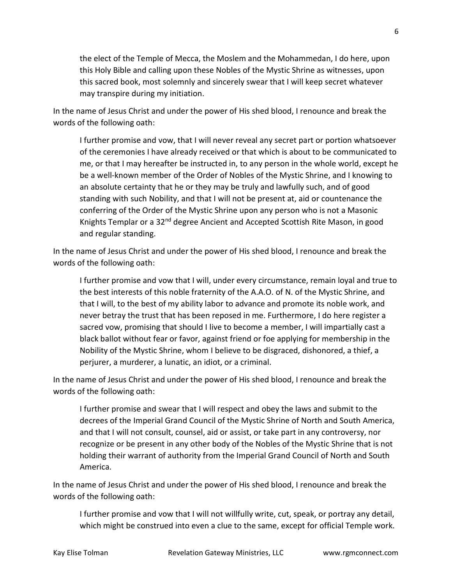the elect of the Temple of Mecca, the Moslem and the Mohammedan, I do here, upon this Holy Bible and calling upon these Nobles of the Mystic Shrine as witnesses, upon this sacred book, most solemnly and sincerely swear that I will keep secret whatever may transpire during my initiation.

In the name of Jesus Christ and under the power of His shed blood, I renounce and break the words of the following oath:

I further promise and vow, that I will never reveal any secret part or portion whatsoever of the ceremonies I have already received or that which is about to be communicated to me, or that I may hereafter be instructed in, to any person in the whole world, except he be a well-known member of the Order of Nobles of the Mystic Shrine, and I knowing to an absolute certainty that he or they may be truly and lawfully such, and of good standing with such Nobility, and that I will not be present at, aid or countenance the conferring of the Order of the Mystic Shrine upon any person who is not a Masonic Knights Templar or a 32<sup>nd</sup> degree Ancient and Accepted Scottish Rite Mason, in good and regular standing.

In the name of Jesus Christ and under the power of His shed blood, I renounce and break the words of the following oath:

I further promise and vow that I will, under every circumstance, remain loyal and true to the best interests of this noble fraternity of the A.A.O. of N. of the Mystic Shrine, and that I will, to the best of my ability labor to advance and promote its noble work, and never betray the trust that has been reposed in me. Furthermore, I do here register a sacred vow, promising that should I live to become a member, I will impartially cast a black ballot without fear or favor, against friend or foe applying for membership in the Nobility of the Mystic Shrine, whom I believe to be disgraced, dishonored, a thief, a perjurer, a murderer, a lunatic, an idiot, or a criminal.

In the name of Jesus Christ and under the power of His shed blood, I renounce and break the words of the following oath:

I further promise and swear that I will respect and obey the laws and submit to the decrees of the Imperial Grand Council of the Mystic Shrine of North and South America, and that I will not consult, counsel, aid or assist, or take part in any controversy, nor recognize or be present in any other body of the Nobles of the Mystic Shrine that is not holding their warrant of authority from the Imperial Grand Council of North and South America.

In the name of Jesus Christ and under the power of His shed blood, I renounce and break the words of the following oath:

I further promise and vow that I will not willfully write, cut, speak, or portray any detail, which might be construed into even a clue to the same, except for official Temple work.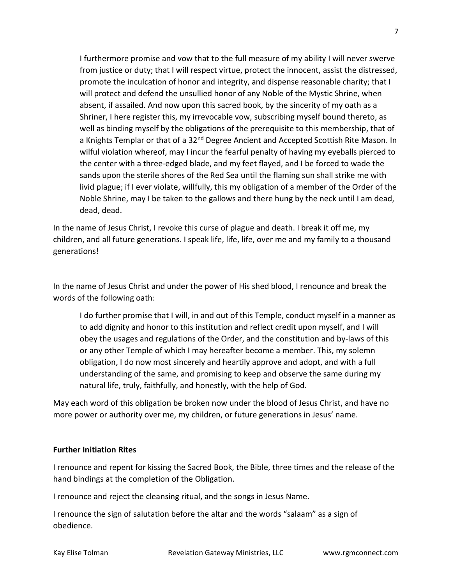I furthermore promise and vow that to the full measure of my ability I will never swerve from justice or duty; that I will respect virtue, protect the innocent, assist the distressed, promote the inculcation of honor and integrity, and dispense reasonable charity; that I will protect and defend the unsullied honor of any Noble of the Mystic Shrine, when absent, if assailed. And now upon this sacred book, by the sincerity of my oath as a Shriner, I here register this, my irrevocable vow, subscribing myself bound thereto, as well as binding myself by the obligations of the prerequisite to this membership, that of a Knights Templar or that of a 32<sup>nd</sup> Degree Ancient and Accepted Scottish Rite Mason. In wilful violation whereof, may I incur the fearful penalty of having my eyeballs pierced to the center with a three-edged blade, and my feet flayed, and I be forced to wade the sands upon the sterile shores of the Red Sea until the flaming sun shall strike me with livid plague; if I ever violate, willfully, this my obligation of a member of the Order of the Noble Shrine, may I be taken to the gallows and there hung by the neck until I am dead, dead, dead.

In the name of Jesus Christ, I revoke this curse of plague and death. I break it off me, my children, and all future generations. I speak life, life, life, over me and my family to a thousand generations!

In the name of Jesus Christ and under the power of His shed blood, I renounce and break the words of the following oath:

I do further promise that I will, in and out of this Temple, conduct myself in a manner as to add dignity and honor to this institution and reflect credit upon myself, and I will obey the usages and regulations of the Order, and the constitution and by-laws of this or any other Temple of which I may hereafter become a member. This, my solemn obligation, I do now most sincerely and heartily approve and adopt, and with a full understanding of the same, and promising to keep and observe the same during my natural life, truly, faithfully, and honestly, with the help of God.

May each word of this obligation be broken now under the blood of Jesus Christ, and have no more power or authority over me, my children, or future generations in Jesus' name.

## Further Initiation Rites

I renounce and repent for kissing the Sacred Book, the Bible, three times and the release of the hand bindings at the completion of the Obligation.

I renounce and reject the cleansing ritual, and the songs in Jesus Name.

I renounce the sign of salutation before the altar and the words "salaam" as a sign of obedience.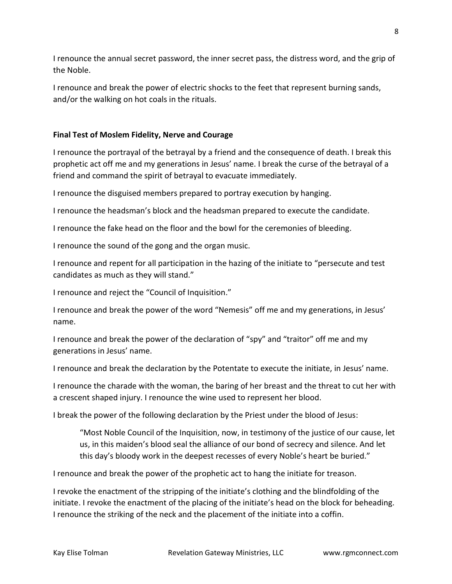I renounce the annual secret password, the inner secret pass, the distress word, and the grip of the Noble.

I renounce and break the power of electric shocks to the feet that represent burning sands, and/or the walking on hot coals in the rituals.

## Final Test of Moslem Fidelity, Nerve and Courage

I renounce the portrayal of the betrayal by a friend and the consequence of death. I break this prophetic act off me and my generations in Jesus' name. I break the curse of the betrayal of a friend and command the spirit of betrayal to evacuate immediately.

I renounce the disguised members prepared to portray execution by hanging.

I renounce the headsman's block and the headsman prepared to execute the candidate.

I renounce the fake head on the floor and the bowl for the ceremonies of bleeding.

I renounce the sound of the gong and the organ music.

I renounce and repent for all participation in the hazing of the initiate to "persecute and test candidates as much as they will stand."

I renounce and reject the "Council of Inquisition."

I renounce and break the power of the word "Nemesis" off me and my generations, in Jesus' name.

I renounce and break the power of the declaration of "spy" and "traitor" off me and my generations in Jesus' name.

I renounce and break the declaration by the Potentate to execute the initiate, in Jesus' name.

I renounce the charade with the woman, the baring of her breast and the threat to cut her with a crescent shaped injury. I renounce the wine used to represent her blood.

I break the power of the following declaration by the Priest under the blood of Jesus:

"Most Noble Council of the Inquisition, now, in testimony of the justice of our cause, let us, in this maiden's blood seal the alliance of our bond of secrecy and silence. And let this day's bloody work in the deepest recesses of every Noble's heart be buried."

I renounce and break the power of the prophetic act to hang the initiate for treason.

I revoke the enactment of the stripping of the initiate's clothing and the blindfolding of the initiate. I revoke the enactment of the placing of the initiate's head on the block for beheading. I renounce the striking of the neck and the placement of the initiate into a coffin.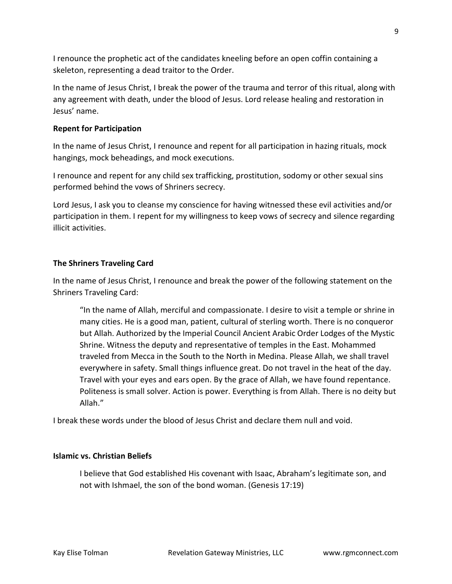I renounce the prophetic act of the candidates kneeling before an open coffin containing a skeleton, representing a dead traitor to the Order.

In the name of Jesus Christ, I break the power of the trauma and terror of this ritual, along with any agreement with death, under the blood of Jesus. Lord release healing and restoration in Jesus' name.

#### Repent for Participation

In the name of Jesus Christ, I renounce and repent for all participation in hazing rituals, mock hangings, mock beheadings, and mock executions.

I renounce and repent for any child sex trafficking, prostitution, sodomy or other sexual sins performed behind the vows of Shriners secrecy.

Lord Jesus, I ask you to cleanse my conscience for having witnessed these evil activities and/or participation in them. I repent for my willingness to keep vows of secrecy and silence regarding illicit activities.

## The Shriners Traveling Card

In the name of Jesus Christ, I renounce and break the power of the following statement on the Shriners Traveling Card:

"In the name of Allah, merciful and compassionate. I desire to visit a temple or shrine in many cities. He is a good man, patient, cultural of sterling worth. There is no conqueror but Allah. Authorized by the Imperial Council Ancient Arabic Order Lodges of the Mystic Shrine. Witness the deputy and representative of temples in the East. Mohammed traveled from Mecca in the South to the North in Medina. Please Allah, we shall travel everywhere in safety. Small things influence great. Do not travel in the heat of the day. Travel with your eyes and ears open. By the grace of Allah, we have found repentance. Politeness is small solver. Action is power. Everything is from Allah. There is no deity but Allah."

I break these words under the blood of Jesus Christ and declare them null and void.

### Islamic vs. Christian Beliefs

I believe that God established His covenant with Isaac, Abraham's legitimate son, and not with Ishmael, the son of the bond woman. (Genesis 17:19)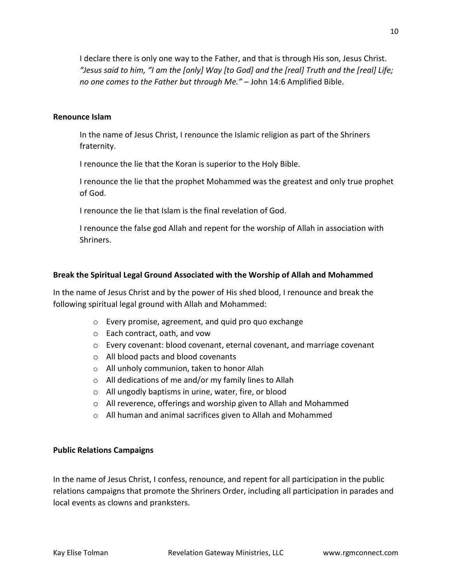I declare there is only one way to the Father, and that is through His son, Jesus Christ. "Jesus said to him, "I am the [only] Way [to God] and the [real] Truth and the [real] Life; no one comes to the Father but through Me." – John 14:6 Amplified Bible.

#### Renounce Islam

In the name of Jesus Christ, I renounce the Islamic religion as part of the Shriners fraternity.

I renounce the lie that the Koran is superior to the Holy Bible.

I renounce the lie that the prophet Mohammed was the greatest and only true prophet of God.

I renounce the lie that Islam is the final revelation of God.

I renounce the false god Allah and repent for the worship of Allah in association with Shriners.

## Break the Spiritual Legal Ground Associated with the Worship of Allah and Mohammed

In the name of Jesus Christ and by the power of His shed blood, I renounce and break the following spiritual legal ground with Allah and Mohammed:

- o Every promise, agreement, and quid pro quo exchange
- o Each contract, oath, and vow
- $\circ$  Every covenant: blood covenant, eternal covenant, and marriage covenant
- o All blood pacts and blood covenants
- o All unholy communion, taken to honor Allah
- o All dedications of me and/or my family lines to Allah
- o All ungodly baptisms in urine, water, fire, or blood
- o All reverence, offerings and worship given to Allah and Mohammed
- o All human and animal sacrifices given to Allah and Mohammed

## Public Relations Campaigns

In the name of Jesus Christ, I confess, renounce, and repent for all participation in the public relations campaigns that promote the Shriners Order, including all participation in parades and local events as clowns and pranksters.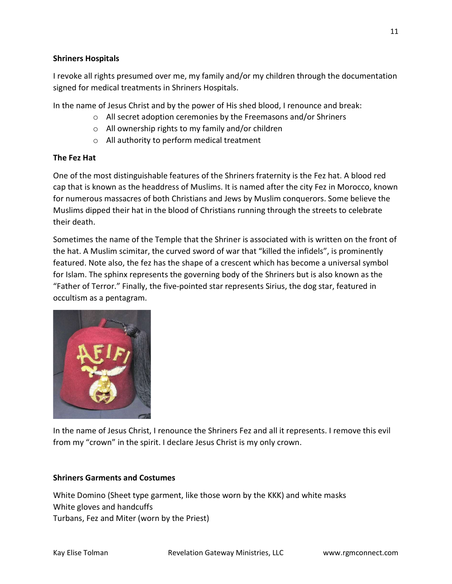## Shriners Hospitals

I revoke all rights presumed over me, my family and/or my children through the documentation signed for medical treatments in Shriners Hospitals.

In the name of Jesus Christ and by the power of His shed blood, I renounce and break:

- o All secret adoption ceremonies by the Freemasons and/or Shriners
- o All ownership rights to my family and/or children
- o All authority to perform medical treatment

# The Fez Hat

One of the most distinguishable features of the Shriners fraternity is the Fez hat. A blood red cap that is known as the headdress of Muslims. It is named after the city Fez in Morocco, known for numerous massacres of both Christians and Jews by Muslim conquerors. Some believe the Muslims dipped their hat in the blood of Christians running through the streets to celebrate their death.

Sometimes the name of the Temple that the Shriner is associated with is written on the front of the hat. A Muslim scimitar, the curved sword of war that "killed the infidels", is prominently featured. Note also, the fez has the shape of a crescent which has become a universal symbol for Islam. The sphinx represents the governing body of the Shriners but is also known as the "Father of Terror." Finally, the five-pointed star represents Sirius, the dog star, featured in occultism as a pentagram.



In the name of Jesus Christ, I renounce the Shriners Fez and all it represents. I remove this evil from my "crown" in the spirit. I declare Jesus Christ is my only crown.

## Shriners Garments and Costumes

White Domino (Sheet type garment, like those worn by the KKK) and white masks White gloves and handcuffs Turbans, Fez and Miter (worn by the Priest)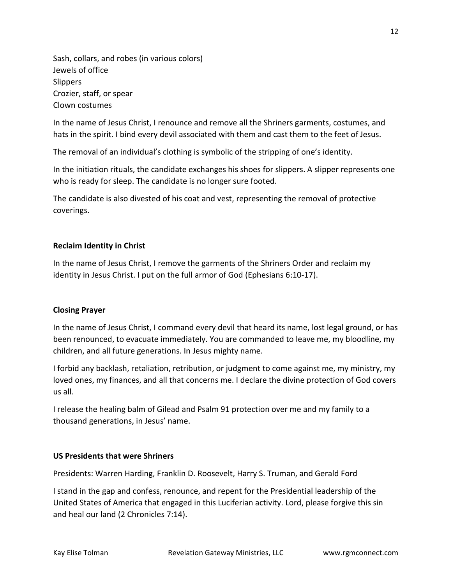Sash, collars, and robes (in various colors) Jewels of office **Slippers** Crozier, staff, or spear Clown costumes

In the name of Jesus Christ, I renounce and remove all the Shriners garments, costumes, and hats in the spirit. I bind every devil associated with them and cast them to the feet of Jesus.

The removal of an individual's clothing is symbolic of the stripping of one's identity.

In the initiation rituals, the candidate exchanges his shoes for slippers. A slipper represents one who is ready for sleep. The candidate is no longer sure footed.

The candidate is also divested of his coat and vest, representing the removal of protective coverings.

## Reclaim Identity in Christ

In the name of Jesus Christ, I remove the garments of the Shriners Order and reclaim my identity in Jesus Christ. I put on the full armor of God (Ephesians 6:10-17).

## Closing Prayer

In the name of Jesus Christ, I command every devil that heard its name, lost legal ground, or has been renounced, to evacuate immediately. You are commanded to leave me, my bloodline, my children, and all future generations. In Jesus mighty name.

I forbid any backlash, retaliation, retribution, or judgment to come against me, my ministry, my loved ones, my finances, and all that concerns me. I declare the divine protection of God covers us all.

I release the healing balm of Gilead and Psalm 91 protection over me and my family to a thousand generations, in Jesus' name.

## US Presidents that were Shriners

Presidents: Warren Harding, Franklin D. Roosevelt, Harry S. Truman, and Gerald Ford

I stand in the gap and confess, renounce, and repent for the Presidential leadership of the United States of America that engaged in this Luciferian activity. Lord, please forgive this sin and heal our land (2 Chronicles 7:14).